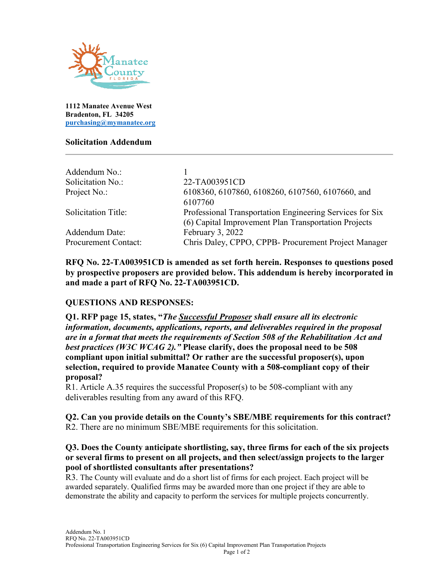

**1112 Manatee Avenue West Bradenton, FL 34205 [purchasing@mymanatee.org](mailto:purchasing@mymanatee.org)**

#### **Solicitation Addendum**

| 22-TA003951CD                                            |
|----------------------------------------------------------|
| 6108360, 6107860, 6108260, 6107560, 6107660, and         |
| 6107760                                                  |
| Professional Transportation Engineering Services for Six |
| (6) Capital Improvement Plan Transportation Projects     |
| February 3, 2022                                         |
| Chris Daley, CPPO, CPPB- Procurement Project Manager     |
|                                                          |

**RFQ No. 22-TA003951CD is amended as set forth herein. Responses to questions posed by prospective proposers are provided below. This addendum is hereby incorporated in and made a part of RFQ No. 22-TA003951CD.**

# **QUESTIONS AND RESPONSES:**

**Q1. RFP page 15, states, "***The Successful Proposer shall ensure all its electronic information, documents, applications, reports, and deliverables required in the proposal are in a format that meets the requirements of Section 508 of the Rehabilitation Act and best practices (W3C WCAG 2)."* **Please clarify, does the proposal need to be 508 compliant upon initial submittal? Or rather are the successful proposer(s), upon selection, required to provide Manatee County with a 508-compliant copy of their proposal?**

R1. Article A.35 requires the successful Proposer(s) to be 508-compliant with any deliverables resulting from any award of this RFQ.

**Q2. Can you provide details on the County's SBE/MBE requirements for this contract?** R2. There are no minimum SBE/MBE requirements for this solicitation.

## **Q3. Does the County anticipate shortlisting, say, three firms for each of the six projects or several firms to present on all projects, and then select/assign projects to the larger pool of shortlisted consultants after presentations?**

R3. The County will evaluate and do a short list of firms for each project. Each project will be awarded separately. Qualified firms may be awarded more than one project if they are able to demonstrate the ability and capacity to perform the services for multiple projects concurrently.